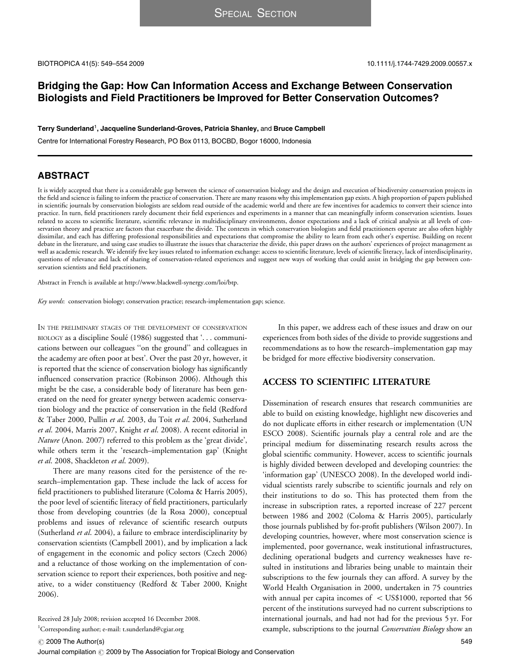# Bridging the Gap: How Can Information Access and Exchange Between Conservation Biologists and Field Practitioners be Improved for Better Conservation Outcomes?

Terry Sunderland<sup>1</sup>, Jacqueline Sunderland-Groves, Patricia Shanley, and Bruce Campbell

Centre for International Forestry Research, PO Box 0113, BOCBD, Bogor 16000, Indonesia

# ABSTRACT

It is widely accepted that there is a considerable gap between the science of conservation biology and the design and execution of biodiversity conservation projects in the field and science is failing to inform the practice of conservation. There are many reasons why this implementation gap exists. A high proportion of papers published in scientific journals by conservation biologists are seldom read outside of the academic world and there are few incentives for academics to convert their science into practice. In turn, field practitioners rarely document their field experiences and experiments in a manner that can meaningfully inform conservation scientists. Issues related to access to scientific literature, scientific relevance in multidisciplinary environments, donor expectations and a lack of critical analysis at all levels of conservation theory and practice are factors that exacerbate the divide. The contexts in which conservation biologists and field practitioners operate are also often highly dissimilar, and each has differing professional responsibilities and expectations that compromise the ability to learn from each other's expertise. Building on recent debate in the literature, and using case studies to illustrate the issues that characterize the divide, this paper draws on the authors' experiences of project management as well as academic research. We identify five key issues related to information exchange: access to scientific literature, levels of scientific literacy, lack of interdisciplinarity, questions of relevance and lack of sharing of conservation-related experiences and suggest new ways of working that could assist in bridging the gap between conservation scientists and field practitioners.

Abstract in French is available at [http://www.blackwell-synergy.com/loi/btp.](http://www.blackwell-synergy.com/loi/btp.3d)

Key words: conservation biology; conservation practice; research-implementation gap; science.

IN THE PRELIMINARY STAGES OF THE DEVELOPMENT OF CONSERVATION BIOLOGY as a discipline Soulé (1986) suggested that '... communications between our colleagues ''on the ground'' and colleagues in the academy are often poor at best'. Over the past 20 yr, however, it is reported that the science of conservation biology has significantly influenced conservation practice (Robinson 2006). Although this might be the case, a considerable body of literature has been generated on the need for greater synergy between academic conservation biology and the practice of conservation in the field (Redford & Taber 2000, Pullin et al. 2003, du Toit et al. 2004, Sutherland et al. 2004, Marris 2007, Knight et al. 2008). A recent editorial in Nature (Anon. 2007) referred to this problem as the 'great divide', while others term it the 'research–implementation gap' (Knight et al. 2008, Shackleton et al. 2009).

There are many reasons cited for the persistence of the research–implementation gap. These include the lack of access for field practitioners to published literature (Coloma & Harris 2005), the poor level of scientific literacy of field practitioners, particularly those from developing countries (de la Rosa 2000), conceptual problems and issues of relevance of scientific research outputs (Sutherland et al. 2004), a failure to embrace interdisciplinarity by conservation scientists (Campbell 2001), and by implication a lack of engagement in the economic and policy sectors (Czech 2006) and a reluctance of those working on the implementation of conservation science to report their experiences, both positive and negative, to a wider constituency (Redford & Taber 2000, Knight 2006).

Received 28 July 2008; revision accepted 16 December 2008.

<sup>1</sup>Corresponding author; e-mail: [t.sunderland@cgiar.org](I:/Bwus/Btp/562/t.sunderland@cgiar.org)

ACCESS TO SCIENTIFIC LITERATURE Dissemination of research ensures that research communities are able to build on existing knowledge, highlight new discoveries and

be bridged for more effective biodiversity conservation.

In this paper, we address each of these issues and draw on our experiences from both sides of the divide to provide suggestions and recommendations as to how the research–implementation gap may

do not duplicate efforts in either research or implementation (UN ESCO 2008). Scientific journals play a central role and are the principal medium for disseminating research results across the global scientific community. However, access to scientific journals is highly divided between developed and developing countries: the 'information gap' (UNESCO 2008). In the developed world individual scientists rarely subscribe to scientific journals and rely on their institutions to do so. This has protected them from the increase in subscription rates, a reported increase of 227 percent between 1986 and 2002 (Coloma & Harris 2005), particularly those journals published by for-profit publishers (Wilson 2007). In developing countries, however, where most conservation science is implemented, poor governance, weak institutional infrastructures, declining operational budgets and currency weaknesses have resulted in institutions and libraries being unable to maintain their subscriptions to the few journals they can afford. A survey by the World Health Organisation in 2000, undertaken in 75 countries with annual per capita incomes of  $\langle$  US\$1000, reported that 56 percent of the institutions surveyed had no current subscriptions to international journals, and had not had for the previous 5 yr. For example, subscriptions to the journal *Conservation Biology* show an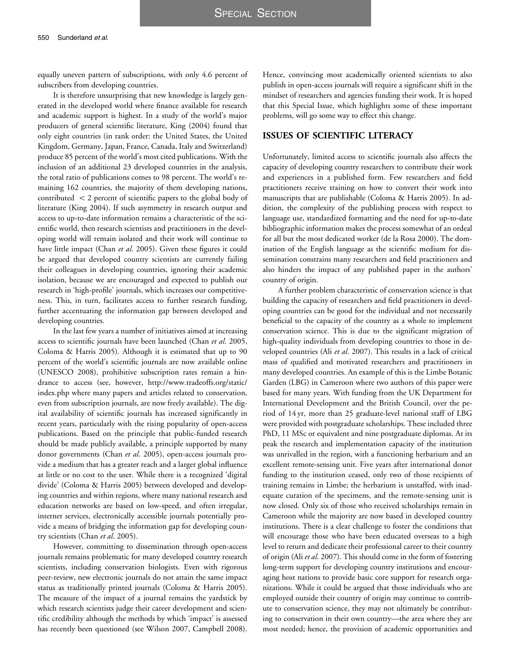SPECIAL SECTION

equally uneven pattern of subscriptions, with only 4.6 percent of subscribers from developing countries.

It is therefore unsurprising that new knowledge is largely generated in the developed world where finance available for research and academic support is highest. In a study of the world's major producers of general scientific literature, King (2004) found that only eight countries (in rank order: the United States, the United Kingdom, Germany, Japan, France, Canada, Italy and Switzerland) produce 85 percent of the world's most cited publications. With the inclusion of an additional 23 developed countries in the analysis, the total ratio of publications comes to 98 percent. The world's remaining 162 countries, the majority of them developing nations, contributed  $\langle 2 \rangle$  percent of scientific papers to the global body of literature (King 2004). If such asymmetry in research output and access to up-to-date information remains a characteristic of the scientific world, then research scientists and practitioners in the developing world will remain isolated and their work will continue to have little impact (Chan et al. 2005). Given these figures it could be argued that developed country scientists are currently failing their colleagues in developing countries, ignoring their academic isolation, because we are encouraged and expected to publish our research in 'high-profile' journals, which increases our competitiveness. This, in turn, facilitates access to further research funding, further accentuating the information gap between developed and developing countries.

In the last few years a number of initiatives aimed at increasing access to scientific journals have been launched (Chan et al. 2005, Coloma & Harris 2005). Although it is estimated that up to 90 percent of the world's scientific journals are now available online (UNESCO 2008), prohibitive subscription rates remain a hindrance to access (see, however, [http://www.tradeoffs.org/static/](http://www.tradeoffs.org/static/index.php) [index.php where many papers and articles related to conservation,](http://www.tradeoffs.org/static/index.php) [even from subscription journals, are now freely available\). The dig](http://www.tradeoffs.org/static/index.php)[ital availability of scientific journals has increased significantly in](http://www.tradeoffs.org/static/index.php) [recent years, particularly with the rising popularity of open-access](http://www.tradeoffs.org/static/index.php) [publications. Based on the principle that public-funded research](http://www.tradeoffs.org/static/index.php) [should be made publicly available, a principle supported by many](http://www.tradeoffs.org/static/index.php) donor governments (Chan et al[. 2005\), open-access journals pro](http://www.tradeoffs.org/static/index.php)[vide a medium that has a greater reach and a larger global influence](http://www.tradeoffs.org/static/index.php) [at little or no cost to the user. While there is a recognized 'digital](http://www.tradeoffs.org/static/index.php) [divide' \(Coloma & Harris 2005\) between developed and develop](http://www.tradeoffs.org/static/index.php)[ing countries and within regions, where many national research and](http://www.tradeoffs.org/static/index.php) [education networks are based on low-speed, and often irregular,](http://www.tradeoffs.org/static/index.php) [internet services, electronically accessible journals potentially pro](http://www.tradeoffs.org/static/index.php)[vide a means of bridging the information gap for developing coun](http://www.tradeoffs.org/static/index.php)[try scientists \(Chan](http://www.tradeoffs.org/static/index.php) et al. 2005).

However, committing to dissemination through open-access journals remains problematic for many developed country research scientists, including conservation biologists. Even with rigorous peer-review, new electronic journals do not attain the same impact status as traditionally printed journals (Coloma & Harris 2005). The measure of the impact of a journal remains the yardstick by which research scientists judge their career development and scientific credibility although the methods by which 'impact' is assessed has recently been questioned (see Wilson 2007, Campbell 2008).

Hence, convincing most academically oriented scientists to also publish in open-access journals will require a significant shift in the mindset of researchers and agencies funding their work. It is hoped that this Special Issue, which highlights some of these important problems, will go some way to effect this change.

#### ISSUES OF SCIENTIFIC LITERACY

Unfortunately, limited access to scientific journals also affects the capacity of developing country researchers to contribute their work and experiences in a published form. Few researchers and field practitioners receive training on how to convert their work into manuscripts that are publishable (Coloma & Harris 2005). In addition, the complexity of the publishing process with respect to language use, standardized formatting and the need for up-to-date bibliographic information makes the process somewhat of an ordeal for all but the most dedicated worker (de la Rosa 2000). The domination of the English language as the scientific medium for dissemination constrains many researchers and field practitioners and also hinders the impact of any published paper in the authors' country of origin.

A further problem characteristic of conservation science is that building the capacity of researchers and field practitioners in developing countries can be good for the individual and not necessarily beneficial to the capacity of the country as a whole to implement conservation science. This is due to the significant migration of high-quality individuals from developing countries to those in developed countries (Ali et al. 2007). This results in a lack of critical mass of qualified and motivated researchers and practitioners in many developed countries. An example of this is the Limbe Botanic Garden (LBG) in Cameroon where two authors of this paper were based for many years. With funding from the UK Department for International Development and the British Council, over the period of 14 yr, more than 25 graduate-level national staff of LBG were provided with postgraduate scholarships. These included three PhD, 11 MSc or equivalent and nine postgraduate diplomas. At its peak the research and implementation capacity of the institution was unrivalled in the region, with a functioning herbarium and an excellent remote-sensing unit. Five years after international donor funding to the institution ceased, only two of those recipients of training remains in Limbe; the herbarium is unstaffed, with inadequate curation of the specimens, and the remote-sensing unit is now closed. Only six of those who received scholarships remain in Cameroon while the majority are now based in developed country institutions. There is a clear challenge to foster the conditions that will encourage those who have been educated overseas to a high level to return and dedicate their professional career to their country of origin (Ali et al. 2007). This should come in the form of fostering long-term support for developing country institutions and encouraging host nations to provide basic core support for research organizations. While it could be argued that those individuals who are employed outside their country of origin may continue to contribute to conservation science, they may not ultimately be contributing to conservation in their own country—the area where they are most needed; hence, the provision of academic opportunities and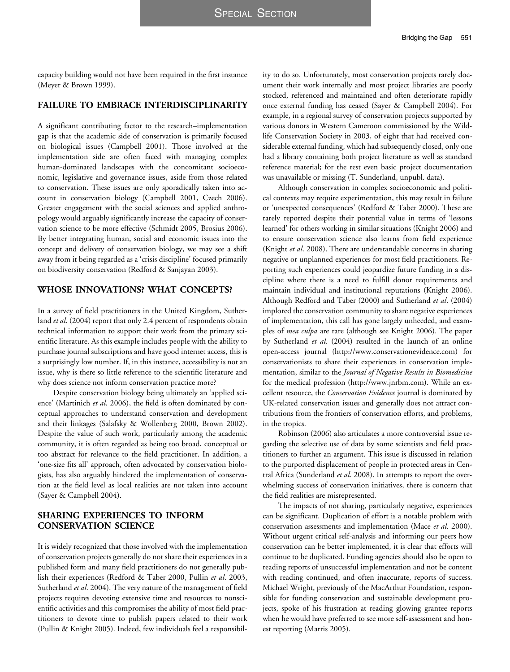capacity building would not have been required in the first instance (Meyer & Brown 1999).

### FAILURE TO EMBRACE INTERDISCIPLINARITY

A significant contributing factor to the research–implementation gap is that the academic side of conservation is primarily focused on biological issues (Campbell 2001). Those involved at the implementation side are often faced with managing complex human-dominated landscapes with the concomitant socioeconomic, legislative and governance issues, aside from those related to conservation. These issues are only sporadically taken into account in conservation biology (Campbell 2001, Czech 2006). Greater engagement with the social sciences and applied anthropology would arguably significantly increase the capacity of conservation science to be more effective (Schmidt 2005, Brosius 2006). By better integrating human, social and economic issues into the concept and delivery of conservation biology, we may see a shift away from it being regarded as a 'crisis discipline' focused primarily on biodiversity conservation (Redford & Sanjayan 2003).

# WHOSE INNOVATIONS? WHAT CONCEPTS?

In a survey of field practitioners in the United Kingdom, Sutherland et al. (2004) report that only 2.4 percent of respondents obtain technical information to support their work from the primary scientific literature. As this example includes people with the ability to purchase journal subscriptions and have good internet access, this is a surprisingly low number. If, in this instance, accessibility is not an issue, why is there so little reference to the scientific literature and why does science not inform conservation practice more?

Despite conservation biology being ultimately an 'applied science' (Martinich et al. 2006), the field is often dominated by conceptual approaches to understand conservation and development and their linkages (Salafsky & Wollenberg 2000, Brown 2002). Despite the value of such work, particularly among the academic community, it is often regarded as being too broad, conceptual or too abstract for relevance to the field practitioner. In addition, a 'one-size fits all' approach, often advocated by conservation biologists, has also arguably hindered the implementation of conservation at the field level as local realities are not taken into account (Sayer & Campbell 2004).

#### SHARING EXPERIENCES TO INFORM CONSERVATION SCIENCE

It is widely recognized that those involved with the implementation of conservation projects generally do not share their experiences in a published form and many field practitioners do not generally publish their experiences (Redford & Taber 2000, Pullin et al. 2003, Sutherland et al. 2004). The very nature of the management of field projects requires devoting extensive time and resources to nonscientific activities and this compromises the ability of most field practitioners to devote time to publish papers related to their work (Pullin & Knight 2005). Indeed, few individuals feel a responsibility to do so. Unfortunately, most conservation projects rarely document their work internally and most project libraries are poorly stocked, referenced and maintained and often deteriorate rapidly once external funding has ceased (Sayer & Campbell 2004). For example, in a regional survey of conservation projects supported by various donors in Western Cameroon commissioned by the Wildlife Conservation Society in 2003, of eight that had received considerable external funding, which had subsequently closed, only one had a library containing both project literature as well as standard reference material; for the rest even basic project documentation was unavailable or missing (T. Sunderland, unpubl. data).

Although conservation in complex socioeconomic and political contexts may require experimentation, this may result in failure or 'unexpected consequences' (Redford & Taber 2000). These are rarely reported despite their potential value in terms of 'lessons learned' for others working in similar situations (Knight 2006) and to ensure conservation science also learns from field experience (Knight et al. 2008). There are understandable concerns in sharing negative or unplanned experiences for most field practitioners. Reporting such experiences could jeopardize future funding in a discipline where there is a need to fulfill donor requirements and maintain individual and institutional reputations (Knight 2006). Although Redford and Taber (2000) and Sutherland et al. (2004) implored the conservation community to share negative experiences of implementation, this call has gone largely unheeded, and examples of mea culpa are rare (although see Knight 2006). The paper by Sutherland et al. (2004) resulted in the launch of an online open-access journal ([http://www.conservationevidence.com\) for](http://www.conservationevidence.com) [conservationists to share their experiences in conservation imple](http://www.conservationevidence.com)mentation, similar to the [Journal of Negative Results in Biomedicine](http://www.conservationevidence.com) [for the medical profession \(http://www.jnrbm.com\). While an ex](http://www.jnrbm.com)cellent resource, the Conservation Evidence [journal is dominated by](http://www.jnrbm.com) [UK-related conservation issues and generally does not attract con](http://www.jnrbm.com)[tributions from the frontiers of conservation efforts, and problems,](http://www.jnrbm.com) [in the tropics.](http://www.jnrbm.com)

Robinson (2006) also articulates a more controversial issue regarding the selective use of data by some scientists and field practitioners to further an argument. This issue is discussed in relation to the purported displacement of people in protected areas in Central Africa (Sunderland et al. 2008). In attempts to report the overwhelming success of conservation initiatives, there is concern that the field realities are misrepresented.

The impacts of not sharing, particularly negative, experiences can be significant. Duplication of effort is a notable problem with conservation assessments and implementation (Mace et al. 2000). Without urgent critical self-analysis and informing our peers how conservation can be better implemented, it is clear that efforts will continue to be duplicated. Funding agencies should also be open to reading reports of unsuccessful implementation and not be content with reading continued, and often inaccurate, reports of success. Michael Wright, previously of the MacArthur Foundation, responsible for funding conservation and sustainable development projects, spoke of his frustration at reading glowing grantee reports when he would have preferred to see more self-assessment and honest reporting (Marris 2005).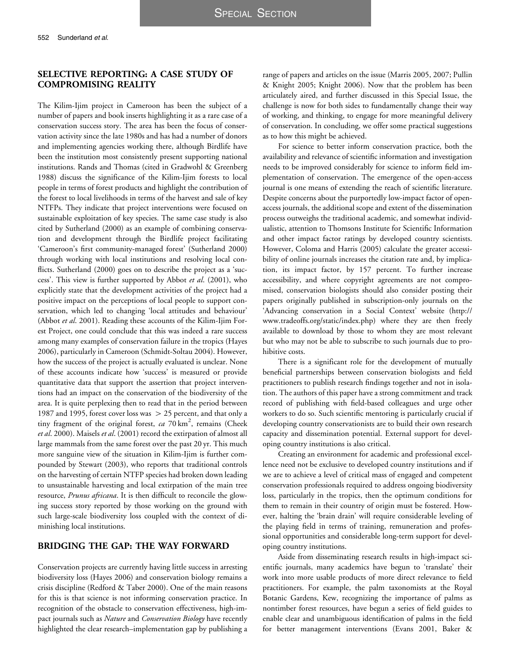# SELECTIVE REPORTING: A CASE STUDY OF COMPROMISING REALITY

The Kilim-Ijim project in Cameroon has been the subject of a number of papers and book inserts highlighting it as a rare case of a conservation success story. The area has been the focus of conservation activity since the late 1980s and has had a number of donors and implementing agencies working there, although Birdlife have been the institution most consistently present supporting national institutions. Rands and Thomas (cited in Gradwohl & Greenberg 1988) discuss the significance of the Kilim-Ijim forests to local people in terms of forest products and highlight the contribution of the forest to local livelihoods in terms of the harvest and sale of key NTFPs. They indicate that project interventions were focused on sustainable exploitation of key species. The same case study is also cited by Sutherland (2000) as an example of combining conservation and development through the Birdlife project facilitating 'Cameroon's first community-managed forest' (Sutherland 2000) through working with local institutions and resolving local conflicts. Sutherland (2000) goes on to describe the project as a 'success'. This view is further supported by Abbot et al. (2001), who explicitly state that the development activities of the project had a positive impact on the perceptions of local people to support conservation, which led to changing 'local attitudes and behaviour' (Abbot et al. 2001). Reading these accounts of the Kilim-Ijim Forest Project, one could conclude that this was indeed a rare success among many examples of conservation failure in the tropics (Hayes 2006), particularly in Cameroon (Schmidt-Soltau 2004). However, how the success of the project is actually evaluated is unclear. None of these accounts indicate how 'success' is measured or provide quantitative data that support the assertion that project interventions had an impact on the conservation of the biodiversity of the area. It is quite perplexing then to read that in the period between 1987 and 1995, forest cover loss was  $>$  25 percent, and that only a tiny fragment of the original forest,  $ca$   $70 \text{ km}^2$ , remains (Cheek et al. 2000). Maisels et al. (2001) record the extirpation of almost all large mammals from the same forest over the past 20 yr. This much more sanguine view of the situation in Kilim-Ijim is further compounded by Stewart (2003), who reports that traditional controls on the harvesting of certain NTFP species had broken down leading to unsustainable harvesting and local extirpation of the main tree resource, Prunus africana. It is then difficult to reconcile the glowing success story reported by those working on the ground with such large-scale biodiversity loss coupled with the context of diminishing local institutions.

#### BRIDGING THE GAP: THE WAY FORWARD

Conservation projects are currently having little success in arresting biodiversity loss (Hayes 2006) and conservation biology remains a crisis discipline (Redford & Taber 2000). One of the main reasons for this is that science is not informing conservation practice. In recognition of the obstacle to conservation effectiveness, high-impact journals such as Nature and Conservation Biology have recently highlighted the clear research–implementation gap by publishing a

range of papers and articles on the issue (Marris 2005, 2007; Pullin & Knight 2005; Knight 2006). Now that the problem has been articulately aired, and further discussed in this Special Issue, the challenge is now for both sides to fundamentally change their way of working, and thinking, to engage for more meaningful delivery of conservation. In concluding, we offer some practical suggestions as to how this might be achieved.

For science to better inform conservation practice, both the availability and relevance of scientific information and investigation needs to be improved considerably for science to inform field implementation of conservation. The emergence of the open-access journal is one means of extending the reach of scientific literature. Despite concerns about the purportedly low-impact factor of openaccess journals, the additional scope and extent of the dissemination process outweighs the traditional academic, and somewhat individualistic, attention to Thomsons Institute for Scientific Information and other impact factor ratings by developed country scientists. However, Coloma and Harris (2005) calculate the greater accessibility of online journals increases the citation rate and, by implication, its impact factor, by 157 percent. To further increase accessibility, and where copyright agreements are not compromised, conservation biologists should also consider posting their papers originally published in subscription-only journals on the 'Advancing conservation in a Social Context' website [\(http://](http://www.tradeoffs.org/static/index.php) [www.tradeoffs.org/static/index.php\) where they are then freely](http://www.tradeoffs.org/static/index.php) [available to download by those to whom they are most relevant](http://www.tradeoffs.org/static/index.php) [but who may not be able to subscribe to such journals due to pro](http://www.tradeoffs.org/static/index.php)[hibitive costs.](http://www.tradeoffs.org/static/index.php)

There is a significant role for the development of mutually beneficial partnerships between conservation biologists and field practitioners to publish research findings together and not in isolation. The authors of this paper have a strong commitment and track record of publishing with field-based colleagues and urge other workers to do so. Such scientific mentoring is particularly crucial if developing country conservationists are to build their own research capacity and dissemination potential. External support for developing country institutions is also critical.

Creating an environment for academic and professional excellence need not be exclusive to developed country institutions and if we are to achieve a level of critical mass of engaged and competent conservation professionals required to address ongoing biodiversity loss, particularly in the tropics, then the optimum conditions for them to remain in their country of origin must be fostered. However, halting the 'brain drain' will require considerable leveling of the playing field in terms of training, remuneration and professional opportunities and considerable long-term support for developing country institutions.

Aside from disseminating research results in high-impact scientific journals, many academics have begun to 'translate' their work into more usable products of more direct relevance to field practitioners. For example, the palm taxonomists at the Royal Botanic Gardens, Kew, recognizing the importance of palms as nontimber forest resources, have begun a series of field guides to enable clear and unambiguous identification of palms in the field for better management interventions (Evans 2001, Baker &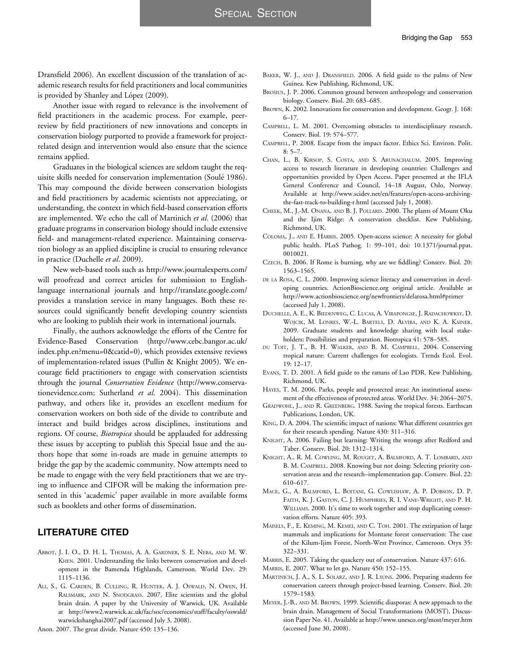SPECIAL SECTION

Dransfield 2006). An excellent discussion of the translation of academic research results for field practitioners and local communities is provided by Shanley and López (2009).

Another issue with regard to relevance is the involvement of field practitioners in the academic process. For example, peerreview by field practitioners of new innovations and concepts in conservation biology purported to provide a framework for projectrelated design and intervention would also ensure that the science remains applied.

Graduates in the biological sciences are seldom taught the requisite skills needed for conservation implementation (Soule´ 1986). This may compound the divide between conservation biologists and field practitioners by academic scientists not appreciating, or understanding, the context in which field-based conservation efforts are implemented. We echo the call of Martinich et al. (2006) that graduate programs in conservation biology should include extensive field- and management-related experience. Maintaining conservation biology as an applied discipline is crucial to ensuring relevance in practice (Duchelle et al. 2009).

New web-based tools such as [http://www.journalexperts.com/](http://www.journalexperts.com/a4.3d) [will proofread and correct articles for submission to English](http://www.journalexperts.com/a4.3d)[language international journals and http://translate.google.com/](http://translate.google.com/a4.3d) [provides a translation service in many languages. Both these re](http://translate.google.com/a4.3d)[sources could significantly benefit developing country scientists](http://translate.google.com/a4.3d) [who are looking to publish their work in international journals.](http://translate.google.com/a4.3d)

Finally, the authors acknowledge the efforts of the Centre for Evidence-Based Conservation ([http://www.cebc.bangor.ac.uk/](http://www.cebc.bangor.ac.uk/index.php.en?menu=0&catid=0) [index.php.en?menu=0&catid=0\), which provides extensive reviews](http://www.cebc.bangor.ac.uk/index.php.en?menu=0&catid=0) [of implementation-related issues \(Pullin](http://www.cebc.bangor.ac.uk/index.php.en?menu=0&catid=0) [& Knight 2005\). We en](http://www.cebc.bangor.ac.uk/index.php.en?menu=0&catid=0)[courage field practitioners to engage with conservation scientists](http://www.cebc.bangor.ac.uk/index.php.en?menu=0&catid=0) through the journal Conservation Evidence [\(http://www.conserva](http://www.conservationevidence.com)[tionevidence.com; Sutherland](http://www.conservationevidence.com) et al. 2004). This dissemination [pathway, and others like it, provides an excellent medium for](http://www.conservationevidence.com) [conservation workers on both side of the divide to contribute and](http://www.conservationevidence.com) [interact and build bridges across disciplines, institutions and](http://www.conservationevidence.com) regions. Of course, *Biotropica* [should be applauded for addressing](http://www.conservationevidence.com) [these issues by accepting to publish this Special Issue and the au](http://www.conservationevidence.com)[thors hope that some in-roads are made in genuine attempts to](http://www.conservationevidence.com) [bridge the gap by the academic community. Now attempts need to](http://www.conservationevidence.com) [be made to engage with the very field practitioners that we are try](http://www.conservationevidence.com)[ing to influence and CIFOR will be making the information pre](http://www.conservationevidence.com)[sented in this 'academic' paper available in more available forms](http://www.conservationevidence.com) [such as booklets and other forms of dissemination.](http://www.conservationevidence.com)

# LITERATURE CITED

- ABBOT, J. I. O., D. H. L. THOMAS, A. A. GARDNER, S. E. NEBA, AND M. W. KHEN. 2001. Understanding the links between conservation and development in the Bamenda Highlands, Cameroon. World Dev. 29: 1115–1136.
- ALI, S., G. CARDEN, B. CULLING, R. HUNTER, A. J. OSWALD, N. OWEN, H. RALSMARK, AND N. SNODGRASS. 2007. Elite scientists and the global brain drain. A paper by the University of Warwick, UK. Available at [http://www2.warwick.ac.uk/fac/soc/economics/staff/faculty/oswald/](http://www2.warwick.ac.uk/fac/soc/economics/staff/faculty/oswald/warwickshanghai2007.pdf) [warwickshanghai2007.pdf \(accessed July 3, 2008\).](http://www2.warwick.ac.uk/fac/soc/economics/staff/faculty/oswald/warwickshanghai2007.pdf)

Anon. 2007. The great divide. Nature 450: 135–136.

- BAKER, W. J., AND J. DRANSFIELD. 2006. A field guide to the palms of New Guinea. Kew Publishing, Richmond, UK.
- BROSIUS, J. P. 2006. Common ground between anthropology and conservation biology. Conserv. Biol. 20: 683–685.
- BROWN, K. 2002. Innovations for conservation and development. Geogr. J. 168: 6–17.
- CAMPBELL, L. M. 2001. Overcoming obstacles to interdisciplinary research. Conserv. Biol. 19: 574–577.
- CAMPBELL, P. 2008. Escape from the impact factor. Ethics Sci. Environ. Polit. 8: 5–7.
- CHAN, L., B. KIRSOP, S. COSTA, AND S. ARUNACHALUM. 2005. Improving access to research literature in developing countries: Challenges and opportunities provided by Open Access. Paper presented at the IFLA General Conference and Council, 14–18 August, Oslo, Norway. Available at [http://www.scidev.net/en/features/open-access-archiving](http://www.de.scientificcommon.org/1051614.3d)[the-fast-track-to-building-r.html \(accessed July 1, 2008\).](http://www.de.scientificcommon.org/1051614.3d)
- CHEEK, M., J.-M. ONANA, AND B. J. POLLARD. 2000. The plants of Mount Oku and the Ijim Ridge: A conservation checklist. Kew Publishing, Richmond, UK.
- COLOMA, J., AND E. HARRIS. 2005. Open-access science: A necessity for global public health. PLoS Pathog. 1: 99–101, doi: [10.1371/journal.ppat.](10.1371/journal.ppat.0010021) [0010021.](10.1371/journal.ppat.0010021)
- CZECH, B. 2006. If Rome is burning, why are we fiddling? Conserv. Biol. 20: 1563–1565.
- DE LA ROSA, C. L. 2000. Improving science literacy and conservation in developing countries. ActionBioscience.org original article. Available at <http://www.actionbioscience.org/newfrontiers/delarosa.html#primer> [\(accessed July 1, 2008\).](http://www.actionbioscience.org/newfrontiers/delarosa.html#primer)
- DUCHELLE, A. E., K. BIEDENWEG, C. LUCAS, A. VIRAPONGSE, J. RADACHOWKSY, D. WOJCIK, M. LONRES, W.-L. BARTELS, D. ALVIRA, AND K. A. KAINER. 2009. Graduate students and knowledge sharing with local stakeholders: Possibilities and preparation. Biotropica 41: 578–585.
- DU TOIT, J. T., B. H. WALKER, AND B. M. CAMPBELL. 2004. Conserving tropical nature: Current challenges for ecologists. Trends Ecol. Evol. 19: 12–17.
- EVANS, T. D. 2001. A field guide to the rattans of Lao PDR. Kew Publishing, Richmond, UK.
- HAYES, T. M. 2006. Parks, people and protected areas: An institutional assessment of the effectiveness of protected areas. World Dev. 34: 2064–2075.
- GRADWOHL, J., AND R. GREENBERG. 1988. Saving the tropical forests. Earthscan Publications, London, UK.
- KING, D. A. 2004. The scientific impact of nations: What different countries get for their research spending. Nature 430: 311–316.
- KNIGHT, A. 2006. Failing but learning: Writing the wrongs after Redford and Taber. Conserv. Biol. 20: 1312–1314.
- KNIGHT, A., R. M. COWLING, M. ROUGET, A. BALMFORD, A. T. LOMBARD, AND B. M. CAMPBELL. 2008. Knowing but not doing: Selecting priority conservation areas and the research–implementation gap. Conserv. Biol. 22: 610–617.
- MACE, G., A. BALMFORD, L. BOITANI, G. COWLISHAW, A. P. DOBSON, D. P. FAITH, K. J. GASTON, C. J. HUMPHRIES, R. I. VANE-WRIGHT, AND P. H. WILLIAMS. 2000. It's time to work together and stop duplicating conservation efforts. Nature 405: 393.
- MAISELS, F., E. KEMING, M. KEMEI, AND C. TOH. 2001. The extirpation of large mammals and implications for Montane forest conservation: The case of the Kilum-Ijim Forest, North-West Province, Cameroon. Oryx 35: 322–331.
- MARRIS, E. 2005. Taking the quackery out of conservation. Nature 437: 616.
- MARRIS, E. 2007. What to let go. Nature 450: 152–155.
- MARTINICH, J. A., S. L. SOLARZ, AND J. R. LYONS. 2006. Preparing students for conservation careers through project-based learning. Conserv. Biol. 20: 1579–1583.
- MEYER, J.-B., AND M. BROWN. 1999. Scientific diasporas: A new approach to the brain drain. Management of Social Transformations (MOST), Discussion Paper No. 41. Available at [http://www.unesco.org/most/meyer.htm](http://www.unesco.org.most/meyer.htm) [\(accessed June 30, 2008\).](http://www.unesco.org.most/meyer.htm)